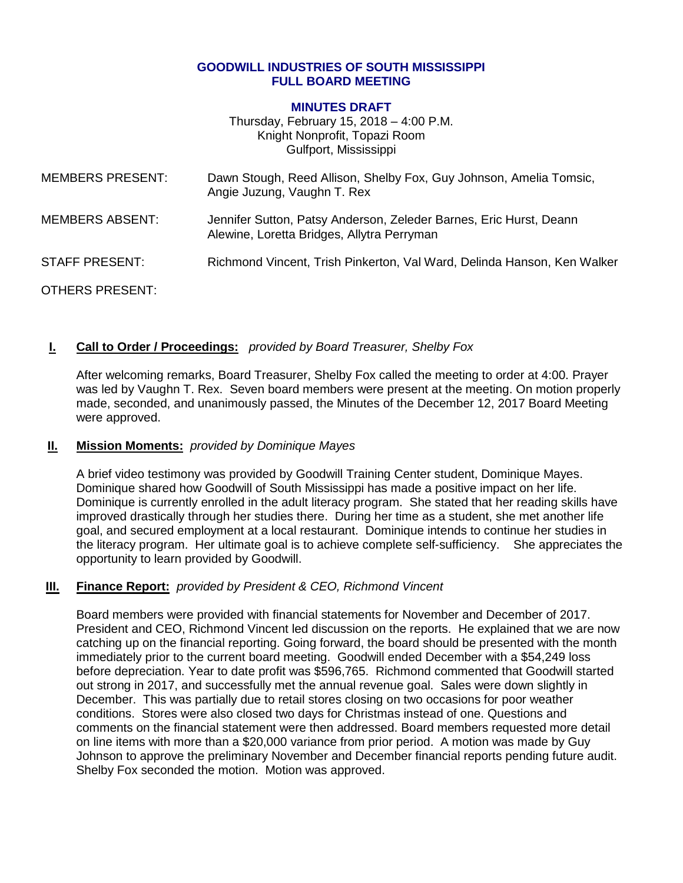#### **GOODWILL INDUSTRIES OF SOUTH MISSISSIPPI FULL BOARD MEETING**

#### **MINUTES DRAFT**

Thursday, February 15, 2018 – 4:00 P.M. Knight Nonprofit, Topazi Room Gulfport, Mississippi

| <b>MEMBERS PRESENT:</b> | Dawn Stough, Reed Allison, Shelby Fox, Guy Johnson, Amelia Tomsic,<br>Angie Juzung, Vaughn T. Rex                |
|-------------------------|------------------------------------------------------------------------------------------------------------------|
| <b>MEMBERS ABSENT:</b>  | Jennifer Sutton, Patsy Anderson, Zeleder Barnes, Eric Hurst, Deann<br>Alewine, Loretta Bridges, Allytra Perryman |
| <b>STAFF PRESENT:</b>   | Richmond Vincent, Trish Pinkerton, Val Ward, Delinda Hanson, Ken Walker                                          |
| OTHERS PRESENT:         |                                                                                                                  |

### **I. Call to Order / Proceedings:** *provided by Board Treasurer, Shelby Fox*

After welcoming remarks, Board Treasurer, Shelby Fox called the meeting to order at 4:00. Prayer was led by Vaughn T. Rex. Seven board members were present at the meeting. On motion properly made, seconded, and unanimously passed, the Minutes of the December 12, 2017 Board Meeting were approved.

#### **II. Mission Moments:** *provided by Dominique Mayes*

A brief video testimony was provided by Goodwill Training Center student, Dominique Mayes. Dominique shared how Goodwill of South Mississippi has made a positive impact on her life. Dominique is currently enrolled in the adult literacy program. She stated that her reading skills have improved drastically through her studies there. During her time as a student, she met another life goal, and secured employment at a local restaurant. Dominique intends to continue her studies in the literacy program. Her ultimate goal is to achieve complete self-sufficiency. She appreciates the opportunity to learn provided by Goodwill.

### **III. Finance Report:** *provided by President & CEO, Richmond Vincent*

Board members were provided with financial statements for November and December of 2017. President and CEO, Richmond Vincent led discussion on the reports. He explained that we are now catching up on the financial reporting. Going forward, the board should be presented with the month immediately prior to the current board meeting. Goodwill ended December with a \$54,249 loss before depreciation. Year to date profit was \$596,765. Richmond commented that Goodwill started out strong in 2017, and successfully met the annual revenue goal. Sales were down slightly in December. This was partially due to retail stores closing on two occasions for poor weather conditions. Stores were also closed two days for Christmas instead of one. Questions and comments on the financial statement were then addressed. Board members requested more detail on line items with more than a \$20,000 variance from prior period. A motion was made by Guy Johnson to approve the preliminary November and December financial reports pending future audit. Shelby Fox seconded the motion. Motion was approved.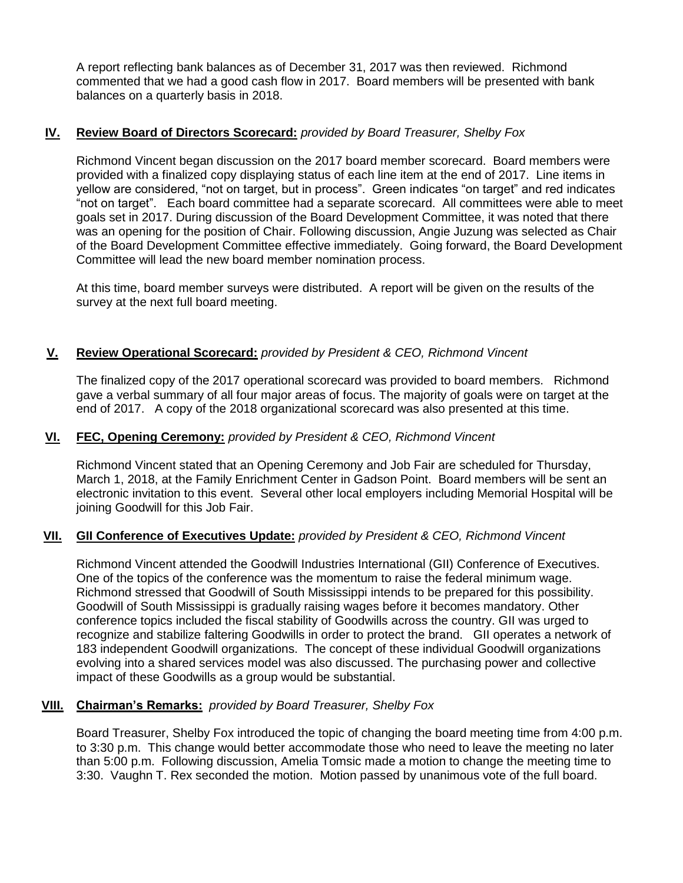A report reflecting bank balances as of December 31, 2017 was then reviewed. Richmond commented that we had a good cash flow in 2017. Board members will be presented with bank balances on a quarterly basis in 2018.

# **IV. Review Board of Directors Scorecard:** *provided by Board Treasurer, Shelby Fox*

Richmond Vincent began discussion on the 2017 board member scorecard. Board members were provided with a finalized copy displaying status of each line item at the end of 2017. Line items in yellow are considered, "not on target, but in process". Green indicates "on target" and red indicates "not on target". Each board committee had a separate scorecard. All committees were able to meet goals set in 2017. During discussion of the Board Development Committee, it was noted that there was an opening for the position of Chair. Following discussion, Angie Juzung was selected as Chair of the Board Development Committee effective immediately. Going forward, the Board Development Committee will lead the new board member nomination process.

At this time, board member surveys were distributed. A report will be given on the results of the survey at the next full board meeting.

# **V. Review Operational Scorecard:** *provided by President & CEO, Richmond Vincent*

The finalized copy of the 2017 operational scorecard was provided to board members. Richmond gave a verbal summary of all four major areas of focus. The majority of goals were on target at the end of 2017. A copy of the 2018 organizational scorecard was also presented at this time.

## **VI. FEC, Opening Ceremony:** *provided by President & CEO, Richmond Vincent*

Richmond Vincent stated that an Opening Ceremony and Job Fair are scheduled for Thursday, March 1, 2018, at the Family Enrichment Center in Gadson Point. Board members will be sent an electronic invitation to this event. Several other local employers including Memorial Hospital will be joining Goodwill for this Job Fair.

# **VII. GII Conference of Executives Update:** *provided by President & CEO, Richmond Vincent*

Richmond Vincent attended the Goodwill Industries International (GII) Conference of Executives. One of the topics of the conference was the momentum to raise the federal minimum wage. Richmond stressed that Goodwill of South Mississippi intends to be prepared for this possibility. Goodwill of South Mississippi is gradually raising wages before it becomes mandatory. Other conference topics included the fiscal stability of Goodwills across the country. GII was urged to recognize and stabilize faltering Goodwills in order to protect the brand. GII operates a network of 183 independent Goodwill organizations. The concept of these individual Goodwill organizations evolving into a shared services model was also discussed. The purchasing power and collective impact of these Goodwills as a group would be substantial.

# **VIII. Chairman's Remarks:** *provided by Board Treasurer, Shelby Fox*

Board Treasurer, Shelby Fox introduced the topic of changing the board meeting time from 4:00 p.m. to 3:30 p.m. This change would better accommodate those who need to leave the meeting no later than 5:00 p.m. Following discussion, Amelia Tomsic made a motion to change the meeting time to 3:30. Vaughn T. Rex seconded the motion. Motion passed by unanimous vote of the full board.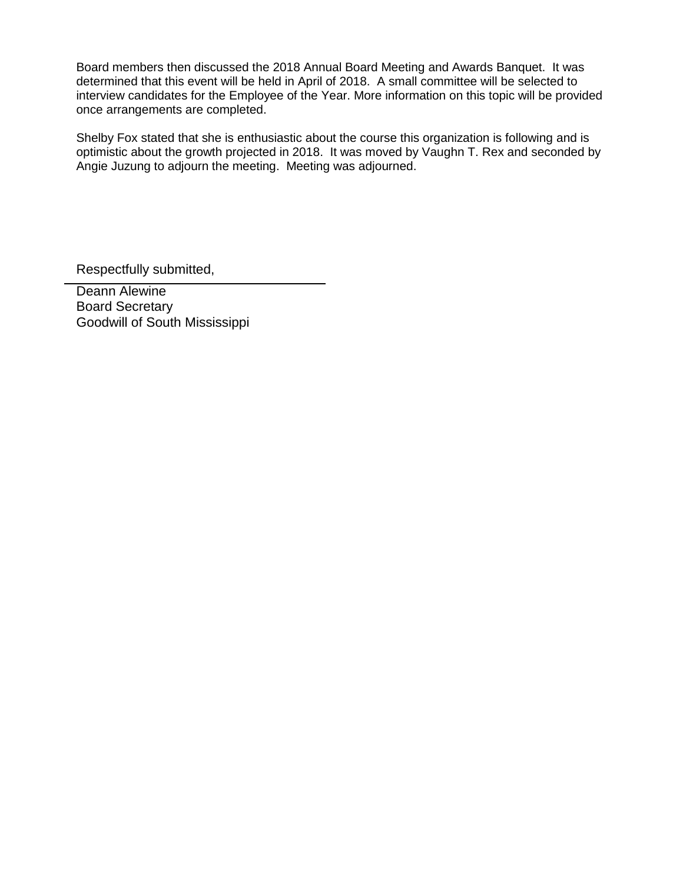Board members then discussed the 2018 Annual Board Meeting and Awards Banquet. It was determined that this event will be held in April of 2018. A small committee will be selected to interview candidates for the Employee of the Year. More information on this topic will be provided once arrangements are completed.

Shelby Fox stated that she is enthusiastic about the course this organization is following and is optimistic about the growth projected in 2018. It was moved by Vaughn T. Rex and seconded by Angie Juzung to adjourn the meeting. Meeting was adjourned.

Respectfully submitted,

Deann Alewine Board Secretary Goodwill of South Mississippi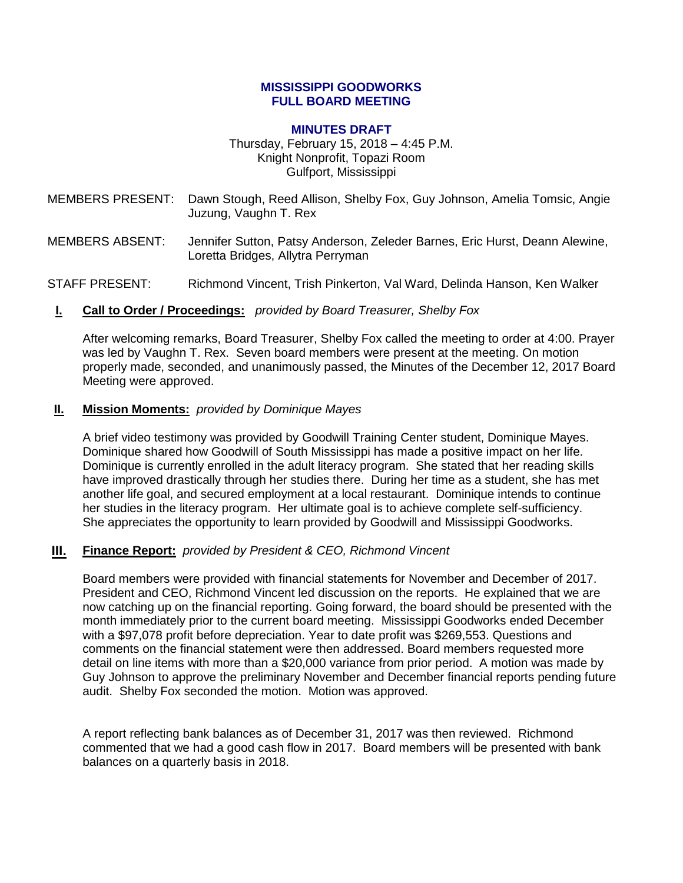#### **MISSISSIPPI GOODWORKS FULL BOARD MEETING**

#### **MINUTES DRAFT**

Thursday, February 15, 2018 – 4:45 P.M. Knight Nonprofit, Topazi Room Gulfport, Mississippi

- MEMBERS PRESENT: Dawn Stough, Reed Allison, Shelby Fox, Guy Johnson, Amelia Tomsic, Angie Juzung, Vaughn T. Rex
- MEMBERS ABSENT: Jennifer Sutton, Patsy Anderson, Zeleder Barnes, Eric Hurst, Deann Alewine, Loretta Bridges, Allytra Perryman

STAFF PRESENT: Richmond Vincent, Trish Pinkerton, Val Ward, Delinda Hanson, Ken Walker

**I. Call to Order / Proceedings:** *provided by Board Treasurer, Shelby Fox*

After welcoming remarks, Board Treasurer, Shelby Fox called the meeting to order at 4:00. Prayer was led by Vaughn T. Rex. Seven board members were present at the meeting. On motion properly made, seconded, and unanimously passed, the Minutes of the December 12, 2017 Board Meeting were approved.

#### **II. Mission Moments:** *provided by Dominique Mayes*

A brief video testimony was provided by Goodwill Training Center student, Dominique Mayes. Dominique shared how Goodwill of South Mississippi has made a positive impact on her life. Dominique is currently enrolled in the adult literacy program. She stated that her reading skills have improved drastically through her studies there. During her time as a student, she has met another life goal, and secured employment at a local restaurant. Dominique intends to continue her studies in the literacy program. Her ultimate goal is to achieve complete self-sufficiency. She appreciates the opportunity to learn provided by Goodwill and Mississippi Goodworks.

### **III. Finance Report:** *provided by President & CEO, Richmond Vincent*

Board members were provided with financial statements for November and December of 2017. President and CEO, Richmond Vincent led discussion on the reports. He explained that we are now catching up on the financial reporting. Going forward, the board should be presented with the month immediately prior to the current board meeting. Mississippi Goodworks ended December with a \$97,078 profit before depreciation. Year to date profit was \$269,553. Questions and comments on the financial statement were then addressed. Board members requested more detail on line items with more than a \$20,000 variance from prior period. A motion was made by Guy Johnson to approve the preliminary November and December financial reports pending future audit. Shelby Fox seconded the motion. Motion was approved.

A report reflecting bank balances as of December 31, 2017 was then reviewed. Richmond commented that we had a good cash flow in 2017. Board members will be presented with bank balances on a quarterly basis in 2018.